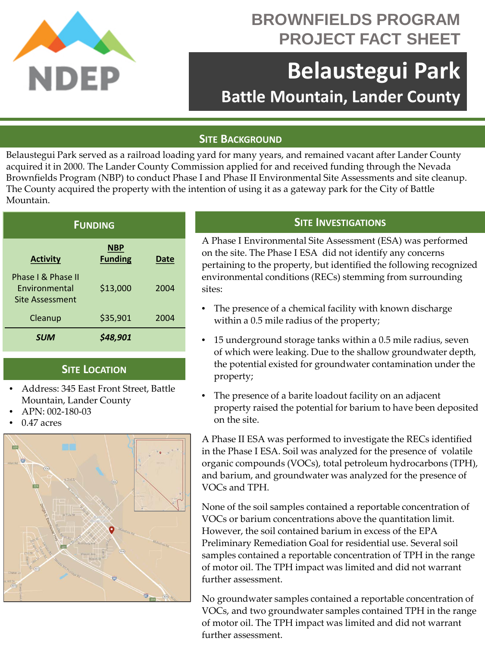

## **BROWNFIELDS PROGRAM PROJECT FACT SHEET**

# **Belaustegui Park Battle Mountain, Lander County**

#### **SITE BACKGROUND**

Belaustegui Park served as a railroad loading yard for many years, and remained vacant after Lander County acquired it in 2000. The Lander County Commission applied for and received funding through the Nevada Brownfields Program (NBP) to conduct Phase I and Phase II Environmental Site Assessments and site cleanup. The County acquired the property with the intention of using it as a gateway park for the City of Battle Mountain.

| <b>FUNDING</b>                                                |                              |      |
|---------------------------------------------------------------|------------------------------|------|
| <b>Activity</b>                                               | <b>NBP</b><br><b>Funding</b> | Date |
| Phase I & Phase II<br><b>Fnvironmental</b><br>Site Assessment | \$13,000                     | 2004 |
| Cleanup                                                       | \$35,901                     | 2004 |
| <b>SUM</b>                                                    | \$48,901                     |      |

#### **SITE LOCATION**

- Address: 345 East Front Street, Battle Mountain, Lander County
- APN: 002-180-03
- 0.47 acres



### **SITE INVESTIGATIONS**

A Phase I Environmental Site Assessment (ESA) was performed on the site. The Phase I ESA did not identify any concerns pertaining to the property, but identified the following recognized environmental conditions (RECs) stemming from surrounding sites:

- The presence of a chemical facility with known discharge within a 0.5 mile radius of the property;
- 15 underground storage tanks within a 0.5 mile radius, seven of which were leaking. Due to the shallow groundwater depth, the potential existed for groundwater contamination under the property;
- The presence of a barite loadout facility on an adjacent property raised the potential for barium to have been deposited on the site.

A Phase II ESA was performed to investigate the RECs identified in the Phase I ESA. Soil was analyzed for the presence of volatile organic compounds (VOCs), total petroleum hydrocarbons (TPH), and barium, and groundwater was analyzed for the presence of VOCs and TPH.

None of the soil samples contained a reportable concentration of VOCs or barium concentrations above the quantitation limit. However, the soil contained barium in excess of the EPA Preliminary Remediation Goal for residential use. Several soil samples contained a reportable concentration of TPH in the range of motor oil. The TPH impact was limited and did not warrant further assessment.

No groundwater samples contained a reportable concentration of VOCs, and two groundwater samples contained TPH in the range of motor oil. The TPH impact was limited and did not warrant further assessment.